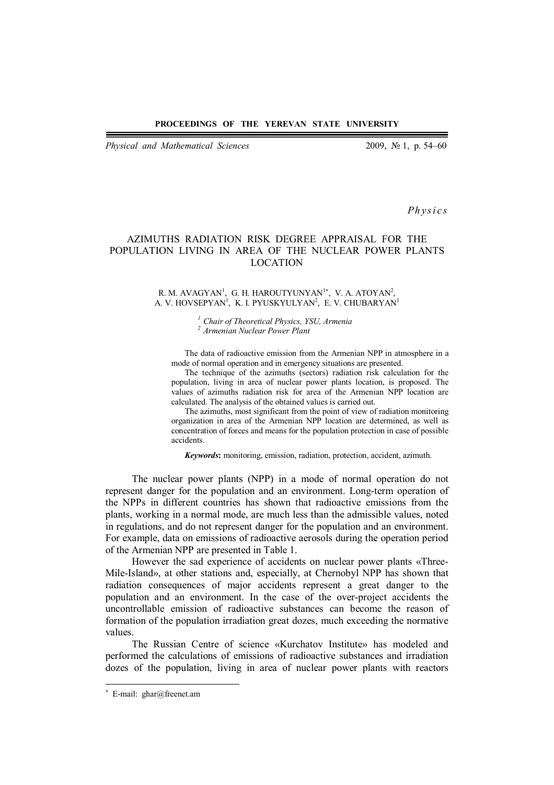*Physical and Mathematical Sciences* 2009, № 1, p. 54–60

*Ph ys i cs*

# AZIMUTHS RADIATION RISK DEGREE APPRAISAL FOR THE POPULATION LIVING IN AREA OF THE NUCLEAR POWER PLANTS LOCATION

#### R. M. AVAGYAN<sup>1</sup>, G. H. HAROUTYUNYAN<sup>1\*</sup>, V. A. ATOYAN<sup>2</sup>, A. V. HOVSEPYAN<sup>1</sup>, K. I. PYUSKYULYAN<sup>2</sup>, E. V. CHUBARYAN<sup>1</sup>

*<sup>1</sup>Chair of Theoretical Physics, YSU, Armenia <sup>2</sup>Armenian Nuclear Power Plant*

The data of radioactive emission from the Armenian NPP in atmosphere in a mode of normal operation and in emergency situations are presented.

The technique of the azimuths (sectors) radiation risk calculation for the population, living in area of nuclear power plants location, is proposed. The values of azimuths radiation risk for area of the Armenian NPP location are calculated. The analysis of the obtained values is carried out.

The azimuths, most significant from the point of view of radiation monitoring organization in area of the Armenian NPP location are determined, as well as concentration of forces and means for the population protection in case of possible accidents.

*Keywords***:** monitoring, emission, radiation, protection, accident, azimuth.

The nuclear power plants (NPP) in a mode of normal operation do not represent danger for the population and an environment. Long-term operation of the NPPs in different countries has shown that radioactive emissions from the plants, working in a normal mode, are much less than the admissible values, noted in regulations, and do not represent danger for the population and an environment. For example, data on emissions of radioactive aerosols during the operation period of the Armenian NPP are presented in Table 1.

However the sad experience of accidents on nuclear power plants «Three-Mile-Island», at other stations and, especially, at Chernobyl NPP has shown that radiation consequences of major accidents represent a great danger to the population and an environment. In the case of the over-project accidents the uncontrollable emission of radioactive substances can become the reason of formation of the population irradiation great dozes, much exceeding the normative values.

The Russian Centre of science «Kurchatov Institute» has modeled and performed the calculations of emissions of radioactive substances and irradiation dozes of the population, living in area of nuclear power plants with reactors

 $\overline{a}$ 

<sup>\*</sup> E-mail: ghar@freenet.am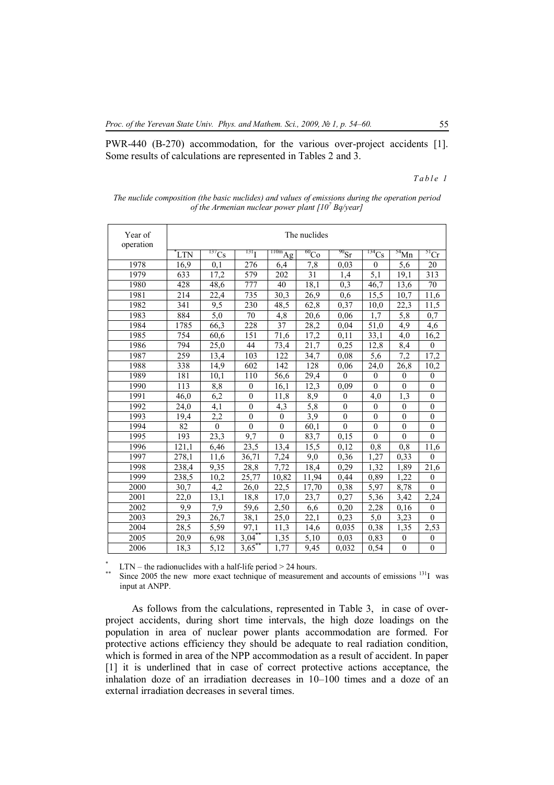PWR-440 (B-270) accommodation, for the various over-project accidents [1]. Some results of calculations are represented in Tables 2 and 3.

## *T a b l e 1*

| Year of<br>operation | The nuclides |                   |                       |                          |                      |                      |                  |                    |                   |
|----------------------|--------------|-------------------|-----------------------|--------------------------|----------------------|----------------------|------------------|--------------------|-------------------|
|                      | 'LTN         | $^{137}Cs$        | $^{131}$ <sub>I</sub> | $\frac{110m}{\text{Ag}}$ | $\overline{^{60}Co}$ | $\overline{^{90}Sr}$ | $^{134}Cs$       | $\frac{54}{10}$ Mn | $\overline{51}Cr$ |
| 1978                 | 16,9         | 0,1               | 276                   | 6,4                      | 7,8                  | 0,03                 | $\theta$         | 5,6                | $20\,$            |
| 1979                 | 633          | 17,2              | 579                   | 202                      | 31                   | 1.4                  | 5,1              | 19,1               | 313               |
| 1980                 | 428          | 48,6              | 777                   | 40                       | 18,1                 | 0,3                  | 46,7             | 13,6               | 70                |
| 1981                 | 214          | $\overline{22,4}$ | 735                   | 30,3                     | 26,9                 | 0,6                  | 15,5             | 10,7               | 11,6              |
| 1982                 | 341          | 9,5               | 230                   | 48,5                     | 62,8                 | 0,37                 | 10,0             | 22,3               | 11,5              |
| 1983                 | 884          | 5,0               | 70                    | 4,8                      | 20,6                 | 0,06                 | 1.7              | 5,8                | 0,7               |
| 1984                 | 1785         | 66,3              | 228                   | 37                       | 28,2                 | 0,04                 | 51,0             | 4,9                | 4,6               |
| 1985                 | 754          | 60,6              | 151                   | 71,6                     | 17,2                 | 0,11                 | 33,1             | 4,0                | 16,2              |
| 1986                 | 794          | 25,0              | 44                    | 73,4                     | 21,7                 | 0,25                 | 12,8             | 8,4                | $\boldsymbol{0}$  |
| 1987                 | 259          | 13,4              | 103                   | 122                      | 34,7                 | 0.08                 | 5,6              | 7,2                | 17,2              |
| 1988                 | 338          | 14,9              | 602                   | 142                      | 128                  | 0,06                 | 24,0             | 26,8               | 10,2              |
| 1989                 | 181          | 10,1              | <sup>110</sup>        | 56,6                     | 29,4                 | $\mathbf{0}$         | $\mathbf{0}$     | $\mathbf{0}$       | $\mathbf{0}$      |
| 1990                 | 113          | 8,8               | $\boldsymbol{0}$      | 16,1                     | 12,3                 | 0,09                 | $\theta$         | $\boldsymbol{0}$   | $\boldsymbol{0}$  |
| 1991                 | 46,0         | 6,2               | $\mathbf{0}$          | 11,8                     | 8,9                  | $\mathbf{0}$         | 4,0              | 1,3                | $\boldsymbol{0}$  |
| 1992                 | 24,0         | 4,1               | $\mathbf{0}$          | 4,3                      | 5,8                  | $\mathbf{0}$         | $\theta$         | $\mathbf{0}$       | $\mathbf{0}$      |
| 1993                 | 19,4         | 2,2               | $\mathbf{0}$          | $\mathbf{0}$             | 3,9                  | $\mathbf{0}$         | $\boldsymbol{0}$ | $\mathbf{0}$       | $\boldsymbol{0}$  |
| 1994                 | 82           | $\boldsymbol{0}$  | $\overline{0}$        | $\boldsymbol{0}$         | 60,1                 | $\overline{0}$       | $\boldsymbol{0}$ | $\overline{0}$     | $\boldsymbol{0}$  |
| 1995                 | 193          | 23,3              | 9,7                   | $\mathbf{0}$             | 83,7                 | 0.15                 | $\mathbf{0}$     | $\mathbf{0}$       | $\overline{0}$    |
| 1996                 | 121,1        | 6,46              | 23,5                  | 13,4                     | 15,5                 | 0,12                 | 0,8              | 0,8                | 11,6              |
| 1997                 | 278,1        | 11,6              | 36,71                 | 7,24                     | 9,0                  | 0,36                 | 1,27             | 0,33               | $\boldsymbol{0}$  |
| 1998                 | 238,4        | 9.35              | 28,8                  | 7,72                     | 18,4                 | 0.29                 | 1,32             | 1,89               | 21,6              |
| 1999                 | 238,5        | 10,2              | 25,77                 | 10,82                    | 11,94                | 0,44                 | 0,89             | 1,22               | $\theta$          |
| 2000                 | 30,7         | 4,2               | 26,0                  | 22,5                     | 17,70                | 0,38                 | $\sqrt{5,97}$    | 8,78               | $\theta$          |
| 2001                 | 22,0         | 13,1              | 18,8                  | 17,0                     | 23,7                 | 0,27                 | 5,36             | 3,42               | 2,24              |
| 2002                 | 9,9          | 7,9               | 59,6                  | 2,50                     | 6,6                  | 0,20                 | 2,28             | 0,16               | $\boldsymbol{0}$  |
| 2003                 | 29,3         | 26,7              | 38,1                  | 25,0                     | 22,1                 | 0,23                 | 5,0              | $\overline{3,23}$  | $\theta$          |
| 2004                 | 28,5         | $\overline{5,59}$ | 97,1                  | 11,3                     | 14,6                 | 0,035                | 0,38             | 1,35               | 2,53              |
| 2005                 | 20,9         | 6,98              | $3,04$ <sup>*</sup>   | 1,35                     | 5,10                 | 0,03                 | 0.83             | $\boldsymbol{0}$   | $\boldsymbol{0}$  |
| 2006                 | 18,3         | 5,12              | $3,65$ **             | 1,77                     | 9,45                 | 0,032                | 0,54             | $\boldsymbol{0}$   | $\boldsymbol{0}$  |

*The nuclide composition (the basic nuclides) and values of emissions during the operation period of the Armenian nuclear power plant [10<sup>7</sup> Bq/year]*

 $LTN -$  the radionuclides with a half-life period  $> 24$  hours.

\*\* Since 2005 the new more exact technique of measurement and accounts of emissions <sup>131</sup>I was input at ANPP.

As follows from the calculations, represented in Table 3, in case of overproject accidents, during short time intervals, the high doze loadings on the population in area of nuclear power plants accommodation are formed. For protective actions efficiency they should be adequate to real radiation condition, which is formed in area of the NPP accommodation as a result of accident. In paper [1] it is underlined that in case of correct protective actions acceptance, the inhalation doze of an irradiation decreases in 10–100 times and a doze of an external irradiation decreases in several times.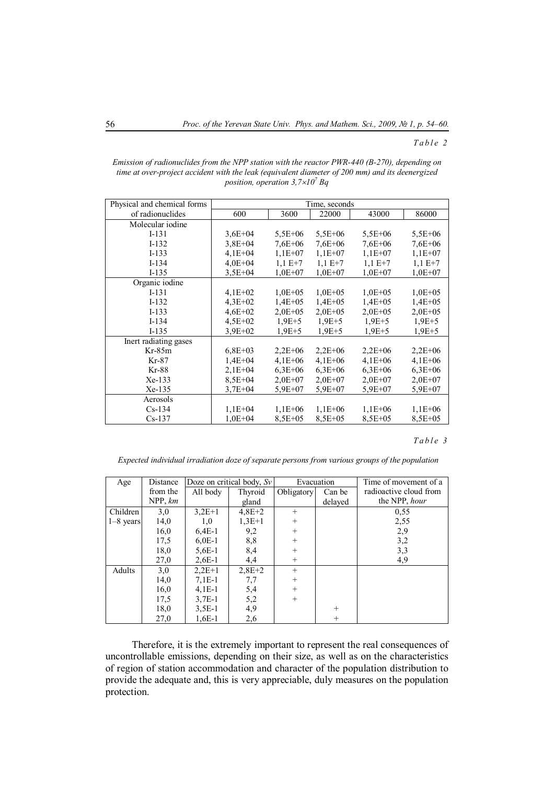#### *T a b l e 2*

| Emission of radionuclides from the NPP station with the reactor PWR-440 (B-270), depending on   |
|-------------------------------------------------------------------------------------------------|
| time at over-project accident with the leak (equivalent diameter of 200 mm) and its deenergized |
| position, operation $3,7\times10'$ Bq                                                           |
|                                                                                                 |

| Physical and chemical forms | Time, seconds |              |              |              |              |  |  |
|-----------------------------|---------------|--------------|--------------|--------------|--------------|--|--|
| of radionuclides            | 600           | 3600         | 22000        | 43000        | 86000        |  |  |
| Molecular iodine            |               |              |              |              |              |  |  |
| $I-131$                     | $3,6E+04$     | $5,5E+06$    | $5,5E+06$    | $5,5E+06$    | $5,5E+06$    |  |  |
| $I-132$                     | $3,8E+04$     | $7.6E + 06$  | $7.6E + 06$  | $7.6E + 06$  | $7.6E + 06$  |  |  |
| $I-133$                     | $4,1E+04$     | $1,1E+07$    | $1.1E + 07$  | $1,1E+07$    | $1.1E + 07$  |  |  |
| $I-134$                     | $4,0E + 04$   | $1.1 E+7$    | $1.1 E+7$    | $1,1 E+7$    | $1,1 E+7$    |  |  |
| $I-135$                     | $3.5E + 04$   | $1,0E+07$    | $1,0E+07$    | $1,0E+07$    | $1,0E+07$    |  |  |
| Organic iodine              |               |              |              |              |              |  |  |
| $I-131$                     | $4,1E+02$     | $1,0E+05$    | $1,0E+05$    | $1,0E+05$    | $1,0E+05$    |  |  |
| $I-132$                     | $4,3E+02$     | $1,4E+05$    | $1,4E+05$    | $1,4E+05$    | $1,4E+05$    |  |  |
| $I-133$                     | $4,6E+02$     | $2.0E + 0.5$ | $2.0E + 0.5$ | $2.0E + 0.5$ | $2.0E + 0.5$ |  |  |
| $I-134$                     | $4,5E+02$     | $1.9E + 5$   | $1.9E + 5$   | $1.9E + 5$   | $1.9E + 5$   |  |  |
| $I-135$                     | $3.9E + 02$   | $1.9E + 5$   | $1.9E + 5$   | $1.9E + 5$   | $1.9E + 5$   |  |  |
| Inert radiating gases       |               |              |              |              |              |  |  |
| Kr-85m                      | $6,8E+03$     | $2,2E+06$    | $2.2E + 06$  | $2,2E+06$    | $2,2E+06$    |  |  |
| Kr-87                       | $1,4E+04$     | $4.1E + 06$  | $4,1E+06$    | $4,1E+06$    | $4,1E+06$    |  |  |
| Kr-88                       | $2,1E+04$     | $6,3E+06$    | $6.3E + 06$  | $6,3E+06$    | $6.3E + 06$  |  |  |
| Xe-133                      | $8,5E+04$     | $2,0E+07$    | $2.0E + 07$  | $2,0E+07$    | $2.0E + 07$  |  |  |
| Xe-135                      | $3.7E + 04$   | $5.9E + 07$  | $5.9E + 07$  | 5,9E+07      | $5.9E + 07$  |  |  |
| Aerosols                    |               |              |              |              |              |  |  |
| $Cs-134$                    | $1,1E+04$     | $1,1E+06$    | $1,1E+06$    | $1,1E+06$    | $1,1E+06$    |  |  |
| $Cs-137$                    | $1,0E+04$     | $8,5E+05$    | $8,5E+05$    | $8,5E+05$    | $8,5E+05$    |  |  |

### *T a b l e 3*

*Expected individual irradiation doze of separate persons from various groups of the population*

| Age         | Distance |          | Doze on critical body, $S_v$ | Evacuation |         | Time of movement of a  |  |
|-------------|----------|----------|------------------------------|------------|---------|------------------------|--|
|             | from the | All body | Thyroid                      | Obligatory | Can be  | radioactive cloud from |  |
|             | NPP, km  |          | gland                        |            | delayed | the NPP, hour          |  |
| Children    | 3,0      | $3,2E+1$ | $4,8E+2$                     | $+$        |         | 0,55                   |  |
| $1-8$ years | 14,0     | 1,0      | $1,3E+1$                     | $^{+}$     |         | 2,55                   |  |
|             | 16,0     | $6,4E-1$ | 9,2                          | $+$        |         | 2,9                    |  |
|             | 17.5     | $6,0E-1$ | 8,8                          | $^{+}$     |         | 3,2                    |  |
|             | 18,0     | $5,6E-1$ | 8,4                          | $+$        |         | 3,3                    |  |
|             | 27,0     | $2,6E-1$ | 4,4                          | $+$        |         | 4,9                    |  |
| Adults      | 3,0      | $2,2E+1$ | $2,8E+2$                     | $+$        |         |                        |  |
|             | 14,0     | $7,1E-1$ | 7,7                          | $^{+}$     |         |                        |  |
|             | 16,0     | $4.1E-1$ | 5,4                          | $^{+}$     |         |                        |  |
|             | 17.5     | $3.7E-1$ | 5,2                          | $^{+}$     |         |                        |  |
|             | 18,0     | $3.5E-1$ | 4,9                          |            | $^{+}$  |                        |  |
|             | 27,0     | $1,6E-1$ | 2,6                          |            | $^{+}$  |                        |  |

Therefore, it is the extremely important to represent the real consequences of uncontrollable emissions, depending on their size, as well as on the characteristics of region of station accommodation and character of the population distribution to provide the adequate and, this is very appreciablе, duly measures on the population protection.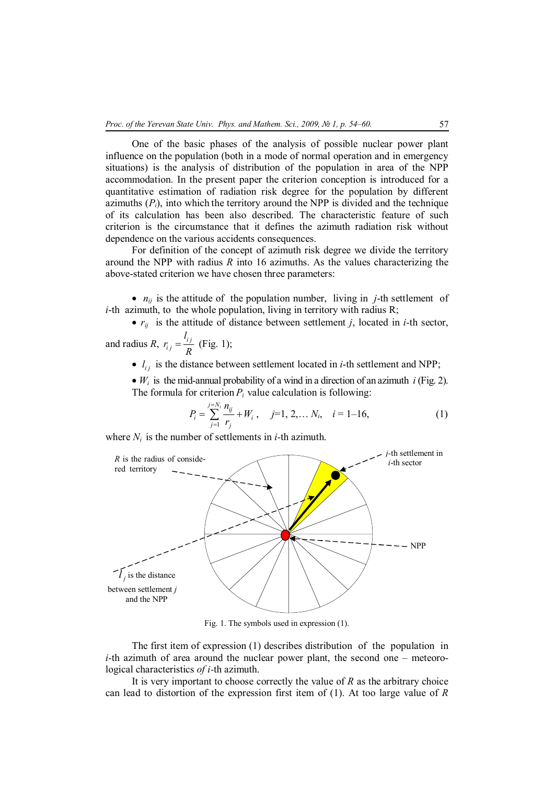One of the basic phases of the analysis of possible nuclear power plant influence on the population (both in a mode of normal operation and in emergency situations) is the analysis of distribution of the population in area of the NPP accommodation. In the present paper the criterion conception is introduced for a quantitative estimation of radiation risk degree for the population by different azimuths  $(P_i)$ , into which the territory around the NPP is divided and the technique of its calculation has been also described. The characteristic feature of such criterion is the circumstance that it defines the azimuth radiation risk without dependence on the various accidents consequences.

For definition of the concept of azimuth risk degree we divide the territory around the NPP with radius *R* into 16 azimuths. As the values characterizing the above-stated criterion we have chosen three parameters:

•  $n_{ij}$  is the attitude of the population number, living in *j*-th settlement of *i*-th azimuth, to the whole population, living in territory with radius R;

•  $r_{ii}$  is the attitude of distance between settlement *j*, located in *i*-th sector, *l*

and radius *R*,  $r_{ij} = \frac{V_{ij}}{R}$ *i j r R*  $=\frac{y}{R}$  (Fig. 1);

•  $l_{ij}$  is the distance between settlement located in *i*-th settlement and NPP;

 $\bullet$  *W<sub>i</sub>* is the mid-annual probability of a wind in a direction of an azimuth *i* (Fig. 2). The formula for criterion  $P_i$  value calculation is following:

$$
P_i = \sum_{j=1}^{j=N_i} \frac{n_{ij}}{r_j} + W_i, \quad j=1, 2, \dots N_i, \quad i=1-16,
$$
 (1)

where  $N_i$  is the number of settlements in *i*-th azimuth.



Fig. 1. The symbols used in expression (1).

The first item of expression (1) describes distribution of the population in *i*-th azimuth of area around the nuclear power plant, the second one – meteorological characteristics *of i-*th azimuth.

It is very important to choose correctly the value of *R* as the arbitrary choice can lead to distortion of the expression first item of (1). At too large value of *R*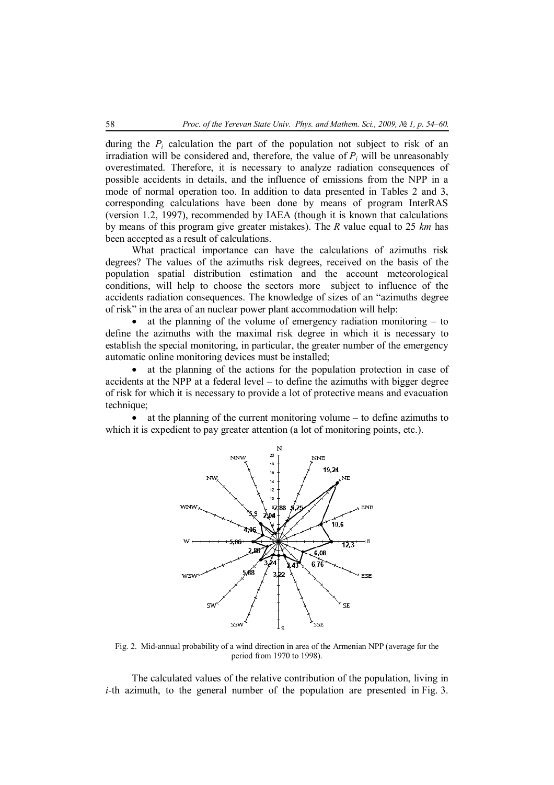during the  $P_i$  calculation the part of the population not subject to risk of an irradiation will be considered and, therefore, the value of  $P_i$  will be unreasonably overestimated. Therefore, it is necessary to analyze radiation consequences of possible accidents in details, and the influence of emissions from the NPP in a mode of normal operation too. In addition to data presented in Tables 2 and 3, corresponding calculations have been done by means of program InterRAS (version 1.2, 1997), recommended by IAEA (though it is known that calculations by means of this program give greater mistakes). The *R* value equal to 25 *km* has been accepted as a result of calculations.

What practical importance can have the calculations of azimuths risk degrees? The values of the azimuths risk degrees, received on the basis of the population spatial distribution estimation and the account meteorological conditions, will help to choose the sectors more subject to influence of the accidents radiation consequences. The knowledge of sizes of an "azimuths degree of risk" in the area of an nuclear power plant accommodation will help:

• at the planning of the volume of emergency radiation monitoring  $-$  to define the azimuths with the maximal risk degree in which it is necessary to establish the special monitoring, in particular, the greater number of the emergency automatic online monitoring devices must be installed;

 at the planning of the actions for the population protection in case of accidents at the NPP at a federal level – to define the azimuths with bigger degree of risk for which it is necessary to provide a lot of protective means and evacuation technique:

 at the planning of the current monitoring volume – to define azimuths to which it is expedient to pay greater attention (a lot of monitoring points, etc.).



Fig. 2. Mid-annual probability of a wind direction in area of the Armenian NPP (average for the period from 1970 to 1998).

The calculated values of the relative contribution of the population, living in *i*-th azimuth, to the general number of the population are presented in Fig. 3.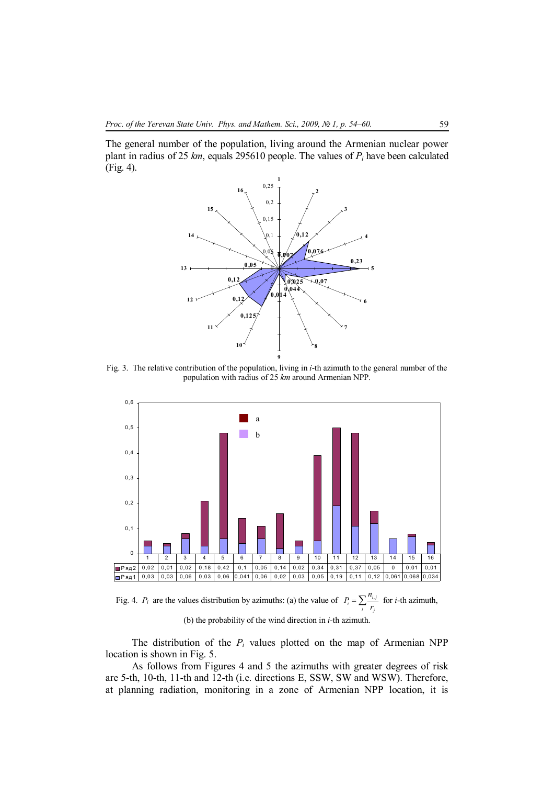The general number of the population, living around the Armenian nuclear power plant in radius of 25 *km*, equals 295610 people. The values of *P<sup>i</sup>* have been calculated (Fig. 4).



Fig. 3. The relative contribution of the population, living in *i*-th azimuth to the general number of the population with radius of 25 *km* around Armenian NPP.



Fig. 4. *P<sub>i</sub>* are the values distribution by azimuths: (a) the value of  $P_i = \sum_j \frac{n_{i,j}}{r_j}$  $P_i = \sum_j \frac{n_{i,j}}{r_i}$  for *i*-th azimuth,

(b) the probability of the wind direction in *i*-th azimuth.

The distribution of the  $P_i$  values plotted on the map of Armenian NPP location is shown in Fig. 5.

As follows from Figures 4 and 5 the azimuths with greater degrees of risk are 5-th, 10-th, 11-th and 12-th (i.e. directions E, SSW, SW and WSW). Therefore, at planning radiation, monitoring in a zone of Armenian NPP location, it is